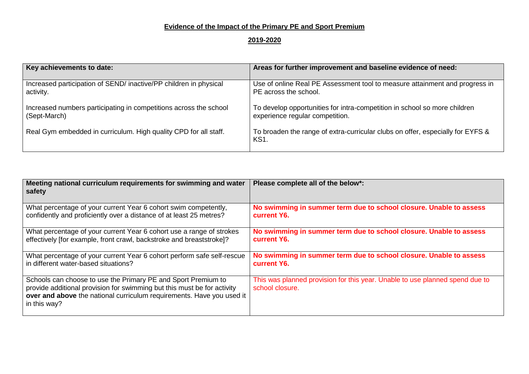## **Evidence of the Impact of the Primary PE and Sport Premium**

## **2019-2020**

| Key achievements to date:                                         | Areas for further improvement and baseline evidence of need:                                  |
|-------------------------------------------------------------------|-----------------------------------------------------------------------------------------------|
| Increased participation of SEND/ inactive/PP children in physical | Use of online Real PE Assessment tool to measure attainment and progress in                   |
| activity.                                                         | PE across the school.                                                                         |
| Increased numbers participating in competitions across the school | To develop opportunities for intra-competition in school so more children                     |
| (Sept-March)                                                      | experience regular competition.                                                               |
| Real Gym embedded in curriculum. High quality CPD for all staff.  | To broaden the range of extra-curricular clubs on offer, especially for EYFS &<br><b>KS1.</b> |

| Meeting national curriculum requirements for swimming and water<br>safety                                                                                                                                                         | Please complete all of the below*:                                                              |
|-----------------------------------------------------------------------------------------------------------------------------------------------------------------------------------------------------------------------------------|-------------------------------------------------------------------------------------------------|
| What percentage of your current Year 6 cohort swim competently,                                                                                                                                                                   | No swimming in summer term due to school closure. Unable to assess                              |
| confidently and proficiently over a distance of at least 25 metres?                                                                                                                                                               | current Y6.                                                                                     |
| What percentage of your current Year 6 cohort use a range of strokes                                                                                                                                                              | No swimming in summer term due to school closure. Unable to assess                              |
| effectively [for example, front crawl, backstroke and breaststroke]?                                                                                                                                                              | current Y6.                                                                                     |
| What percentage of your current Year 6 cohort perform safe self-rescue                                                                                                                                                            | No swimming in summer term due to school closure. Unable to assess                              |
| in different water-based situations?                                                                                                                                                                                              | current Y6.                                                                                     |
| Schools can choose to use the Primary PE and Sport Premium to<br>provide additional provision for swimming but this must be for activity<br>over and above the national curriculum requirements. Have you used it<br>in this way? | This was planned provision for this year. Unable to use planned spend due to<br>school closure. |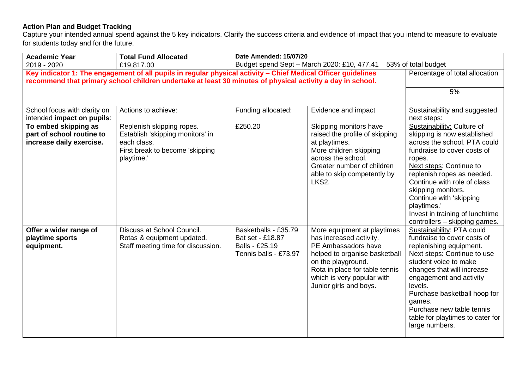## **Action Plan and Budget Tracking**

Capture your intended annual spend against the 5 key indicators. Clarify the success criteria and evidence of impact that you intend to measure to evaluate for students today and for the future.

| <b>Academic Year</b>                                                                                                         | <b>Total Fund Allocated</b><br>£19,817.00                                                                                     | Date Amended: 15/07/20<br>Budget spend Sept - March 2020: £10, 477.41<br>53% of total budget |                                                                                                                                                                                                                                |                                                                                                                                                                                                                                                                                                                                                                |
|------------------------------------------------------------------------------------------------------------------------------|-------------------------------------------------------------------------------------------------------------------------------|----------------------------------------------------------------------------------------------|--------------------------------------------------------------------------------------------------------------------------------------------------------------------------------------------------------------------------------|----------------------------------------------------------------------------------------------------------------------------------------------------------------------------------------------------------------------------------------------------------------------------------------------------------------------------------------------------------------|
| 2019 - 2020<br>Key indicator 1: The engagement of all pupils in regular physical activity - Chief Medical Officer guidelines | Percentage of total allocation                                                                                                |                                                                                              |                                                                                                                                                                                                                                |                                                                                                                                                                                                                                                                                                                                                                |
| recommend that primary school children undertake at least 30 minutes of physical activity a day in school.                   |                                                                                                                               |                                                                                              |                                                                                                                                                                                                                                |                                                                                                                                                                                                                                                                                                                                                                |
|                                                                                                                              |                                                                                                                               |                                                                                              |                                                                                                                                                                                                                                | 5%                                                                                                                                                                                                                                                                                                                                                             |
| School focus with clarity on<br>intended impact on pupils:                                                                   | Actions to achieve:                                                                                                           | Funding allocated:                                                                           | Evidence and impact                                                                                                                                                                                                            | Sustainability and suggested<br>next steps:                                                                                                                                                                                                                                                                                                                    |
| To embed skipping as<br>part of school routine to<br>increase daily exercise.                                                | Replenish skipping ropes.<br>Establish 'skipping monitors' in<br>each class.<br>First break to become 'skipping<br>playtime.' | £250.20                                                                                      | Skipping monitors have<br>raised the profile of skipping<br>at playtimes.<br>More children skipping<br>across the school.<br>Greater number of children<br>able to skip competently by<br>LKS2.                                | Sustainability: Culture of<br>skipping is now established<br>across the school. PTA could<br>fundraise to cover costs of<br>ropes.<br>Next steps: Continue to<br>replenish ropes as needed.<br>Continue with role of class<br>skipping monitors.<br>Continue with 'skipping<br>playtimes.'<br>Invest in training of lunchtime<br>controllers - skipping games. |
| Offer a wider range of<br>playtime sports<br>equipment.                                                                      | Discuss at School Council.<br>Rotas & equipment updated.<br>Staff meeting time for discussion.                                | Basketballs - £35.79<br>Bat set - £18.87<br>Balls - £25.19<br>Tennis balls - £73.97          | More equipment at playtimes<br>has increased activity.<br>PE Ambassadors have<br>helped to organise basketball<br>on the playground.<br>Rota in place for table tennis<br>which is very popular with<br>Junior girls and boys. | Sustainability: PTA could<br>fundraise to cover costs of<br>replenishing equipment.<br>Next steps: Continue to use<br>student voice to make<br>changes that will increase<br>engagement and activity<br>levels.<br>Purchase basketball hoop for<br>games.<br>Purchase new table tennis<br>table for playtimes to cater for<br>large numbers.                   |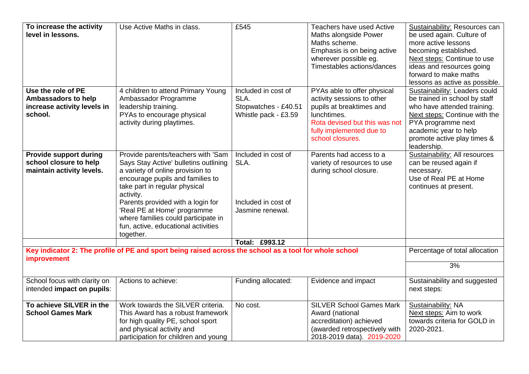| To increase the activity<br>level in lessons.                                              | Use Active Maths in class.                                                                                                                                                                                                                                                                                                                                       | £545                                                                        | Teachers have used Active<br>Maths alongside Power<br>Maths scheme.<br>Emphasis is on being active<br>wherever possible eg.<br>Timestables actions/dances                             | Sustainability: Resources can<br>be used again. Culture of<br>more active lessons<br>becoming established.<br>Next steps: Continue to use<br>ideas and resources going<br>forward to make maths<br>lessons as active as possible. |
|--------------------------------------------------------------------------------------------|------------------------------------------------------------------------------------------------------------------------------------------------------------------------------------------------------------------------------------------------------------------------------------------------------------------------------------------------------------------|-----------------------------------------------------------------------------|---------------------------------------------------------------------------------------------------------------------------------------------------------------------------------------|-----------------------------------------------------------------------------------------------------------------------------------------------------------------------------------------------------------------------------------|
| Use the role of PE<br><b>Ambassadors to help</b><br>increase activity levels in<br>school. | 4 children to attend Primary Young<br>Ambassador Programme<br>leadership training.<br>PYAs to encourage physical<br>activity during playtimes.                                                                                                                                                                                                                   | Included in cost of<br>SLA.<br>Stopwatches - £40.51<br>Whistle pack - £3.59 | PYAs able to offer physical<br>activity sessions to other<br>pupils at breaktimes and<br>lunchtimes.<br>Rota devised but this was not<br>fully implemented due to<br>school closures. | Sustainability: Leaders could<br>be trained in school by staff<br>who have attended training.<br>Next steps: Continue with the<br>PYA programme next<br>academic year to help<br>promote active play times &<br>leadership.       |
| <b>Provide support during</b><br>school closure to help<br>maintain activity levels.       | Provide parents/teachers with 'Sam<br>Says Stay Active' bulletins outlining<br>a variety of online provision to<br>encourage pupils and families to<br>take part in regular physical<br>activity.<br>Parents provided with a login for<br>'Real PE at Home' programme<br>where families could participate in<br>fun, active, educational activities<br>together. | Included in cost of<br>SLA.<br>Included in cost of<br>Jasmine renewal.      | Parents had access to a<br>variety of resources to use<br>during school closure.                                                                                                      | <b>Sustainability: All resources</b><br>can be reused again if<br>necessary.<br>Use of Real PE at Home<br>continues at present.                                                                                                   |
|                                                                                            |                                                                                                                                                                                                                                                                                                                                                                  | Total: £993.12                                                              |                                                                                                                                                                                       |                                                                                                                                                                                                                                   |
| improvement                                                                                | Key indicator 2: The profile of PE and sport being raised across the school as a tool for whole school                                                                                                                                                                                                                                                           |                                                                             |                                                                                                                                                                                       | Percentage of total allocation<br>3%                                                                                                                                                                                              |
| School focus with clarity on<br>intended impact on pupils:                                 | Actions to achieve:                                                                                                                                                                                                                                                                                                                                              | Funding allocated:                                                          | Evidence and impact                                                                                                                                                                   | Sustainability and suggested<br>next steps:                                                                                                                                                                                       |
| To achieve SILVER in the<br><b>School Games Mark</b>                                       | Work towards the SILVER criteria.<br>This Award has a robust framework<br>for high quality PE, school sport<br>and physical activity and<br>participation for children and young                                                                                                                                                                                 | No cost.                                                                    | <b>SILVER School Games Mark</b><br>Award (national<br>accreditation) achieved<br>(awarded retrospectively with<br>2018-2019 data). 2019-2020                                          | Sustainability: NA<br>Next steps: Aim to work<br>towards criteria for GOLD in<br>2020-2021.                                                                                                                                       |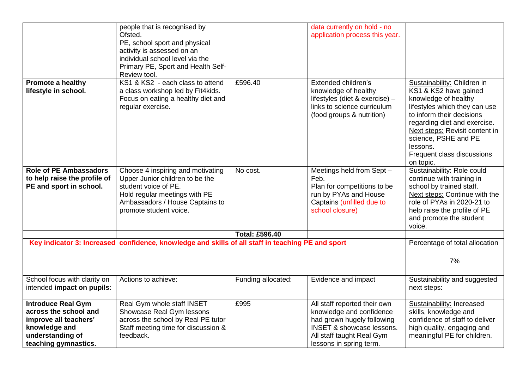| <b>Promote a healthy</b>                                                                                                                 | people that is recognised by<br>Ofsted.<br>PE, school sport and physical<br>activity is assessed on an<br>individual school level via the<br>Primary PE, Sport and Health Self-<br>Review tool.<br>KS1 & KS2 - each class to attend | £596.40               | data currently on hold - no<br>application process this year.<br>Extended children's                                                                                                   | Sustainability: Children in                                                                                                                                                                                                                                  |
|------------------------------------------------------------------------------------------------------------------------------------------|-------------------------------------------------------------------------------------------------------------------------------------------------------------------------------------------------------------------------------------|-----------------------|----------------------------------------------------------------------------------------------------------------------------------------------------------------------------------------|--------------------------------------------------------------------------------------------------------------------------------------------------------------------------------------------------------------------------------------------------------------|
| lifestyle in school.                                                                                                                     | a class workshop led by Fit4kids.<br>Focus on eating a healthy diet and<br>regular exercise.                                                                                                                                        |                       | knowledge of healthy<br>lifestyles (diet & exercise) -<br>links to science curriculum<br>(food groups & nutrition)                                                                     | KS1 & KS2 have gained<br>knowledge of healthy<br>lifestyles which they can use<br>to inform their decisions<br>regarding diet and exercise.<br>Next steps: Revisit content in<br>science, PSHE and PE<br>lessons.<br>Frequent class discussions<br>on topic. |
| <b>Role of PE Ambassadors</b><br>to help raise the profile of<br>PE and sport in school.                                                 | Choose 4 inspiring and motivating<br>Upper Junior children to be the<br>student voice of PE.<br>Hold regular meetings with PE<br>Ambassadors / House Captains to<br>promote student voice.                                          | No cost.              | Meetings held from Sept -<br>Feb.<br>Plan for competitions to be<br>run by PYAs and House<br>Captains (unfilled due to<br>school closure)                                              | Sustainability: Role could<br>continue with training in<br>school by trained staff.<br>Next steps: Continue with the<br>role of PYAs in 2020-21 to<br>help raise the profile of PE<br>and promote the student<br>voice.                                      |
|                                                                                                                                          |                                                                                                                                                                                                                                     | <b>Total: £596.40</b> |                                                                                                                                                                                        |                                                                                                                                                                                                                                                              |
|                                                                                                                                          | Key indicator 3: Increased confidence, knowledge and skills of all staff in teaching PE and sport                                                                                                                                   |                       |                                                                                                                                                                                        | Percentage of total allocation                                                                                                                                                                                                                               |
|                                                                                                                                          |                                                                                                                                                                                                                                     |                       |                                                                                                                                                                                        | 7%                                                                                                                                                                                                                                                           |
| School focus with clarity on<br>intended impact on pupils:                                                                               | Actions to achieve:                                                                                                                                                                                                                 | Funding allocated:    | Evidence and impact                                                                                                                                                                    | Sustainability and suggested<br>next steps:                                                                                                                                                                                                                  |
| <b>Introduce Real Gym</b><br>across the school and<br>improve all teachers'<br>knowledge and<br>understanding of<br>teaching gymnastics. | Real Gym whole staff INSET<br>Showcase Real Gym lessons<br>across the school by Real PE tutor<br>Staff meeting time for discussion &<br>feedback.                                                                                   | £995                  | All staff reported their own<br>knowledge and confidence<br>had grown hugely following<br><b>INSET &amp; showcase lessons.</b><br>All staff taught Real Gym<br>lessons in spring term. | Sustainability: Increased<br>skills, knowledge and<br>confidence of staff to deliver<br>high quality, engaging and<br>meaningful PE for children.                                                                                                            |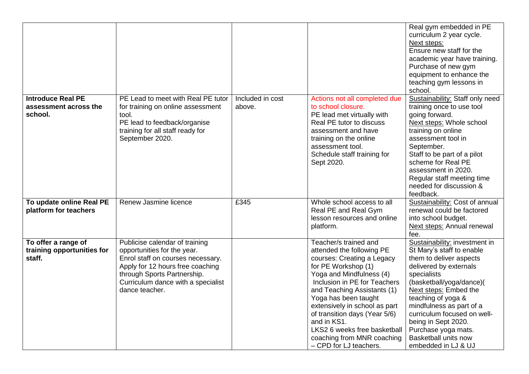|                                                              |                                                                                                                                                                                                                               |                            |                                                                                                                                                                                                                                                                                                                                                                                                     | Real gym embedded in PE<br>curriculum 2 year cycle.<br>Next steps:<br>Ensure new staff for the<br>academic year have training.<br>Purchase of new gym<br>equipment to enhance the<br>teaching gym lessons in<br>school.                                                                                                                                           |
|--------------------------------------------------------------|-------------------------------------------------------------------------------------------------------------------------------------------------------------------------------------------------------------------------------|----------------------------|-----------------------------------------------------------------------------------------------------------------------------------------------------------------------------------------------------------------------------------------------------------------------------------------------------------------------------------------------------------------------------------------------------|-------------------------------------------------------------------------------------------------------------------------------------------------------------------------------------------------------------------------------------------------------------------------------------------------------------------------------------------------------------------|
| <b>Introduce Real PE</b><br>assessment across the<br>school. | PE Lead to meet with Real PE tutor<br>for training on online assessment<br>tool.<br>PE lead to feedback/organise<br>training for all staff ready for<br>September 2020.                                                       | Included in cost<br>above. | Actions not all completed due<br>to school closure.<br>PE lead met virtually with<br>Real PE tutor to discuss<br>assessment and have<br>training on the online<br>assessment tool.<br>Schedule staff training for<br>Sept 2020.                                                                                                                                                                     | Sustainability: Staff only need<br>training once to use tool<br>going forward.<br>Next steps: Whole school<br>training on online<br>assessment tool in<br>September.<br>Staff to be part of a pilot<br>scheme for Real PE<br>assessment in 2020.<br>Regular staff meeting time<br>needed for discussion &<br>feedback.                                            |
| To update online Real PE<br>platform for teachers            | Renew Jasmine licence                                                                                                                                                                                                         | £345                       | Whole school access to all<br>Real PE and Real Gym<br>lesson resources and online<br>platform.                                                                                                                                                                                                                                                                                                      | Sustainability: Cost of annual<br>renewal could be factored<br>into school budget.<br>Next steps: Annual renewal<br>fee.                                                                                                                                                                                                                                          |
| To offer a range of<br>training opportunities for<br>staff.  | Publicise calendar of training<br>opportunities for the year.<br>Enrol staff on courses necessary.<br>Apply for 12 hours free coaching<br>through Sports Partnership.<br>Curriculum dance with a specialist<br>dance teacher. |                            | Teacher/s trained and<br>attended the following PE<br>courses: Creating a Legacy<br>for PE Workshop (1)<br>Yoga and Mindfulness (4)<br>Inclusion in PE for Teachers<br>and Teaching Assistants (1)<br>Yoga has been taught<br>extensively in school as part<br>of transition days (Year 5/6)<br>and in KS1.<br>LKS2 6 weeks free basketball<br>coaching from MNR coaching<br>- CPD for LJ teachers. | Sustainability: investment in<br>St Mary's staff to enable<br>them to deliver aspects<br>delivered by externals<br>specialists<br>(basketball/yoga/dance)(<br>Next steps: Embed the<br>teaching of yoga &<br>mindfulness as part of a<br>curriculum focused on well-<br>being in Sept 2020.<br>Purchase yoga mats.<br>Basketball units now<br>embedded in LJ & UJ |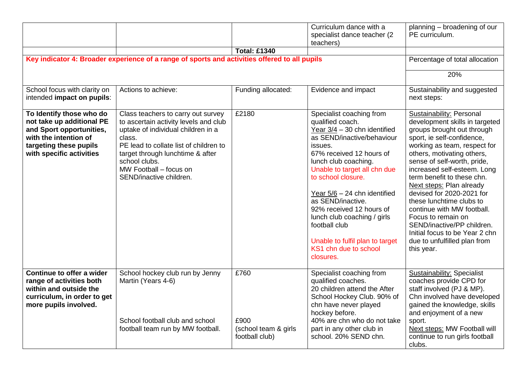|                                                                                                                                                                  |                                                                                                                                                                                                                                                                                 | <b>Total: £1340</b>                                    | Curriculum dance with a<br>specialist dance teacher (2<br>teachers)                                                                                                                                                                                                                                                                                                                                                                         | planning - broadening of our<br>PE curriculum.                                                                                                                                                                                                                                                                                                                                                                                                                                                                                          |
|------------------------------------------------------------------------------------------------------------------------------------------------------------------|---------------------------------------------------------------------------------------------------------------------------------------------------------------------------------------------------------------------------------------------------------------------------------|--------------------------------------------------------|---------------------------------------------------------------------------------------------------------------------------------------------------------------------------------------------------------------------------------------------------------------------------------------------------------------------------------------------------------------------------------------------------------------------------------------------|-----------------------------------------------------------------------------------------------------------------------------------------------------------------------------------------------------------------------------------------------------------------------------------------------------------------------------------------------------------------------------------------------------------------------------------------------------------------------------------------------------------------------------------------|
|                                                                                                                                                                  | Key indicator 4: Broader experience of a range of sports and activities offered to all pupils                                                                                                                                                                                   |                                                        |                                                                                                                                                                                                                                                                                                                                                                                                                                             | Percentage of total allocation                                                                                                                                                                                                                                                                                                                                                                                                                                                                                                          |
|                                                                                                                                                                  |                                                                                                                                                                                                                                                                                 |                                                        |                                                                                                                                                                                                                                                                                                                                                                                                                                             | 20%                                                                                                                                                                                                                                                                                                                                                                                                                                                                                                                                     |
| School focus with clarity on<br>intended impact on pupils:                                                                                                       | Actions to achieve:                                                                                                                                                                                                                                                             | Funding allocated:                                     | Evidence and impact                                                                                                                                                                                                                                                                                                                                                                                                                         | Sustainability and suggested<br>next steps:                                                                                                                                                                                                                                                                                                                                                                                                                                                                                             |
| To Identify those who do<br>not take up additional PE<br>and Sport opportunities,<br>with the intention of<br>targeting these pupils<br>with specific activities | Class teachers to carry out survey<br>to ascertain activity levels and club<br>uptake of individual children in a<br>class.<br>PE lead to collate list of children to<br>target through lunchtime & after<br>school clubs.<br>MW Football - focus on<br>SEND/inactive children. | £2180                                                  | Specialist coaching from<br>qualified coach.<br>Year 3/4 - 30 chn identified<br>as SEND/inactive/behaviour<br>issues.<br>67% received 12 hours of<br>lunch club coaching.<br>Unable to target all chn due<br>to school closure.<br>Year $5/6 - 24$ chn identified<br>as SEND/inactive.<br>92% received 12 hours of<br>lunch club coaching / girls<br>football club<br>Unable to fulfil plan to target<br>KS1 chn due to school<br>closures. | Sustainability: Personal<br>development skills in targeted<br>groups brought out through<br>sport, ie self-confidence,<br>working as team, respect for<br>others, motivating others,<br>sense of self-worth, pride,<br>increased self-esteem. Long<br>term benefit to these chn.<br>Next steps: Plan already<br>devised for 2020-2021 for<br>these lunchtime clubs to<br>continue with MW football.<br>Focus to remain on<br>SEND/inactive/PP children.<br>Initial focus to be Year 2 chn<br>due to unfulfilled plan from<br>this year. |
| Continue to offer a wider<br>range of activities both<br>within and outside the<br>curriculum, in order to get<br>more pupils involved.                          | School hockey club run by Jenny<br>Martin (Years 4-6)<br>School football club and school<br>football team run by MW football.                                                                                                                                                   | £760<br>£900<br>(school team & girls<br>football club) | Specialist coaching from<br>qualified coaches.<br>20 children attend the After<br>School Hockey Club. 90% of<br>chn have never played<br>hockey before.<br>40% are chn who do not take<br>part in any other club in<br>school. 20% SEND chn.                                                                                                                                                                                                | <b>Sustainability: Specialist</b><br>coaches provide CPD for<br>staff involved (PJ & MP).<br>Chn involved have developed<br>gained the knowledge, skills<br>and enjoyment of a new<br>sport.<br>Next steps: MW Football will<br>continue to run girls football<br>clubs.                                                                                                                                                                                                                                                                |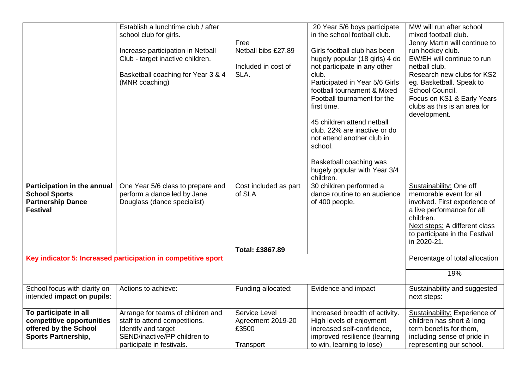|                                                                                                           | Establish a lunchtime club / after<br>school club for girls.<br>Increase participation in Netball<br>Club - target inactive children.<br>Basketball coaching for Year 3 & 4<br>(MNR coaching) | Free<br>Netball bibs £27.89<br>Included in cost of<br>SLA. | 20 Year 5/6 boys participate<br>in the school football club.<br>Girls football club has been<br>hugely popular (18 girls) 4 do<br>not participate in any other<br>club.<br>Participated in Year 5/6 Girls<br>football tournament & Mixed<br>Football tournament for the<br>first time.<br>45 children attend netball<br>club. 22% are inactive or do<br>not attend another club in<br>school.<br>Basketball coaching was<br>hugely popular with Year 3/4<br>children. | MW will run after school<br>mixed football club.<br>Jenny Martin will continue to<br>run hockey club.<br>EW/EH will continue to run<br>netball club.<br>Research new clubs for KS2<br>eg. Basketball. Speak to<br>School Council.<br>Focus on KS1 & Early Years<br>clubs as this is an area for<br>development. |
|-----------------------------------------------------------------------------------------------------------|-----------------------------------------------------------------------------------------------------------------------------------------------------------------------------------------------|------------------------------------------------------------|-----------------------------------------------------------------------------------------------------------------------------------------------------------------------------------------------------------------------------------------------------------------------------------------------------------------------------------------------------------------------------------------------------------------------------------------------------------------------|-----------------------------------------------------------------------------------------------------------------------------------------------------------------------------------------------------------------------------------------------------------------------------------------------------------------|
| Participation in the annual<br><b>School Sports</b><br><b>Partnership Dance</b><br><b>Festival</b>        | One Year 5/6 class to prepare and<br>perform a dance led by Jane<br>Douglass (dance specialist)                                                                                               | Cost included as part<br>of SLA                            | 30 children performed a<br>dance routine to an audience<br>of 400 people.                                                                                                                                                                                                                                                                                                                                                                                             | Sustainability: One off<br>memorable event for all<br>involved. First experience of<br>a live performance for all<br>children.<br>Next steps: A different class<br>to participate in the Festival<br>in 2020-21.                                                                                                |
|                                                                                                           |                                                                                                                                                                                               | Total: £3867.89                                            |                                                                                                                                                                                                                                                                                                                                                                                                                                                                       |                                                                                                                                                                                                                                                                                                                 |
|                                                                                                           | Key indicator 5: Increased participation in competitive sport                                                                                                                                 |                                                            |                                                                                                                                                                                                                                                                                                                                                                                                                                                                       | Percentage of total allocation                                                                                                                                                                                                                                                                                  |
|                                                                                                           |                                                                                                                                                                                               |                                                            |                                                                                                                                                                                                                                                                                                                                                                                                                                                                       | 19%                                                                                                                                                                                                                                                                                                             |
| School focus with clarity on<br>intended impact on pupils:                                                | Actions to achieve:                                                                                                                                                                           | Funding allocated:                                         | Evidence and impact                                                                                                                                                                                                                                                                                                                                                                                                                                                   | Sustainability and suggested<br>next steps:                                                                                                                                                                                                                                                                     |
| To participate in all<br>competitive opportunities<br>offered by the School<br><b>Sports Partnership,</b> | Arrange for teams of children and<br>staff to attend competitions.<br>Identify and target<br>SEND/inactive/PP children to<br>participate in festivals.                                        | Service Level<br>Agreement 2019-20<br>£3500<br>Transport   | Increased breadth of activity.<br>High levels of enjoyment<br>increased self-confidence,<br>improved resilience (learning<br>to win, learning to lose)                                                                                                                                                                                                                                                                                                                | Sustainability: Experience of<br>children has short & long<br>term benefits for them,<br>including sense of pride in<br>representing our school.                                                                                                                                                                |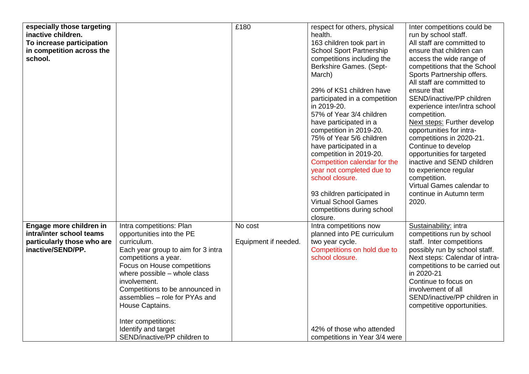| especially those targeting<br>inactive children. |                                              | £180                 | respect for others, physical<br>health.                    | Inter competitions could be<br>run by school staff. |
|--------------------------------------------------|----------------------------------------------|----------------------|------------------------------------------------------------|-----------------------------------------------------|
| To increase participation                        |                                              |                      | 163 children took part in                                  | All staff are committed to                          |
| in competition across the                        |                                              |                      | <b>School Sport Partnership</b>                            | ensure that children can                            |
| school.                                          |                                              |                      | competitions including the                                 | access the wide range of                            |
|                                                  |                                              |                      | Berkshire Games. (Sept-                                    | competitions that the School                        |
|                                                  |                                              |                      | March)                                                     | Sports Partnership offers.                          |
|                                                  |                                              |                      |                                                            | All staff are committed to                          |
|                                                  |                                              |                      | 29% of KS1 children have                                   | ensure that                                         |
|                                                  |                                              |                      | participated in a competition                              | SEND/inactive/PP children                           |
|                                                  |                                              |                      | in 2019-20.                                                | experience inter/intra school                       |
|                                                  |                                              |                      | 57% of Year 3/4 children<br>have participated in a         | competition.<br><b>Next steps: Further develop</b>  |
|                                                  |                                              |                      | competition in 2019-20.                                    | opportunities for intra-                            |
|                                                  |                                              |                      | 75% of Year 5/6 children                                   | competitions in 2020-21.                            |
|                                                  |                                              |                      | have participated in a                                     | Continue to develop                                 |
|                                                  |                                              |                      | competition in 2019-20.                                    | opportunities for targeted                          |
|                                                  |                                              |                      | Competition calendar for the                               | inactive and SEND children                          |
|                                                  |                                              |                      | year not completed due to                                  | to experience regular                               |
|                                                  |                                              |                      | school closure.                                            | competition.                                        |
|                                                  |                                              |                      |                                                            | Virtual Games calendar to                           |
|                                                  |                                              |                      | 93 children participated in<br><b>Virtual School Games</b> | continue in Autumn term                             |
|                                                  |                                              |                      | competitions during school                                 | 2020.                                               |
|                                                  |                                              |                      | closure.                                                   |                                                     |
| Engage more children in                          | Intra competitions: Plan                     | No cost              | Intra competitions now                                     | Sustainability: intra                               |
| intra/inter school teams                         | opportunities into the PE                    |                      | planned into PE curriculum                                 | competitions run by school                          |
| particularly those who are                       | curriculum.                                  | Equipment if needed. | two year cycle.                                            | staff. Inter competitions                           |
| inactive/SEND/PP.                                | Each year group to aim for 3 intra           |                      | Competitions on hold due to                                | possibly run by school staff.                       |
|                                                  | competitions a year.                         |                      | school closure.                                            | Next steps: Calendar of intra-                      |
|                                                  | Focus on House competitions                  |                      |                                                            | competitions to be carried out                      |
|                                                  | where possible - whole class<br>involvement. |                      |                                                            | in 2020-21<br>Continue to focus on                  |
|                                                  | Competitions to be announced in              |                      |                                                            | involvement of all                                  |
|                                                  | assemblies - role for PYAs and               |                      |                                                            | SEND/inactive/PP children in                        |
|                                                  | House Captains.                              |                      |                                                            | competitive opportunities.                          |
|                                                  |                                              |                      |                                                            |                                                     |
|                                                  | Inter competitions:                          |                      |                                                            |                                                     |
|                                                  | Identify and target                          |                      | 42% of those who attended                                  |                                                     |
|                                                  | SEND/inactive/PP children to                 |                      | competitions in Year 3/4 were                              |                                                     |